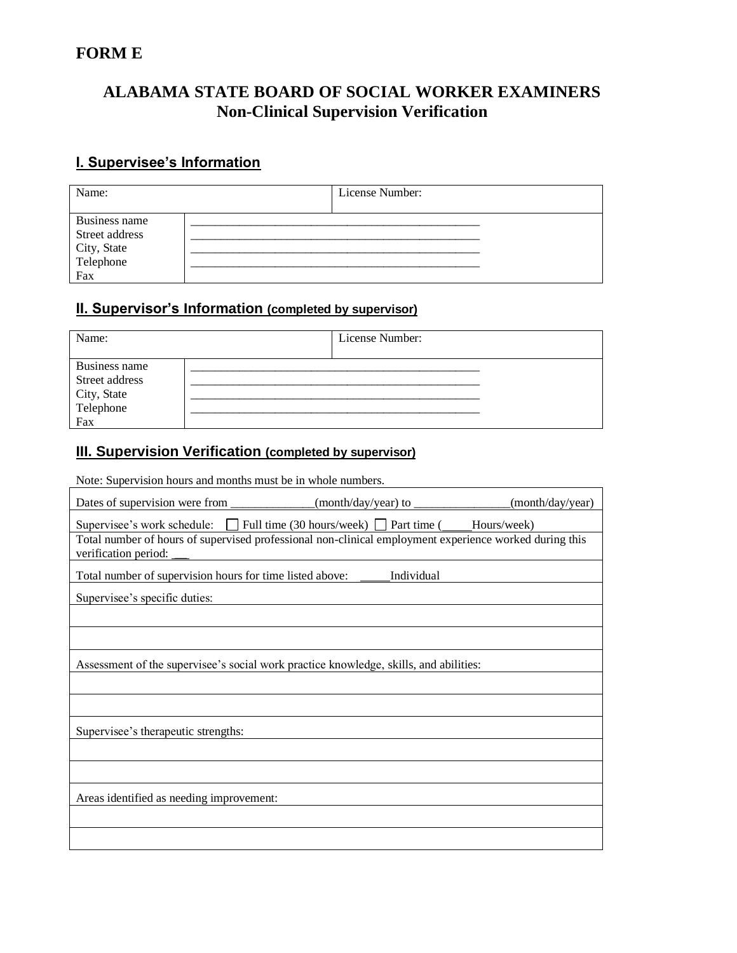## **FORM E**

# **ALABAMA STATE BOARD OF SOCIAL WORKER EXAMINERS Non-Clinical Supervision Verification**

## **I. Supervisee's Information**

| Name:                                                              |  | License Number: |  |  |
|--------------------------------------------------------------------|--|-----------------|--|--|
| Business name<br>Street address<br>City, State<br>Telephone<br>Fax |  |                 |  |  |

#### **II. Supervisor's Information (completed by supervisor)**

| Name:                                                              | License Number: |  |
|--------------------------------------------------------------------|-----------------|--|
| Business name<br>Street address<br>City, State<br>Telephone<br>Fax |                 |  |

 $\overline{\phantom{a}}$ 

#### **III. Supervision Verification (completed by supervisor)**

Note: Supervision hours and months must be in whole numbers.

| Dates of supervision were from                                                                                                                                                                                                |  | (month/day/year) |  |  |  |
|-------------------------------------------------------------------------------------------------------------------------------------------------------------------------------------------------------------------------------|--|------------------|--|--|--|
| Supervisee's work schedule: $\Box$ Full time (30 hours/week) $\Box$ Part time ( Hours/week)<br>Total number of hours of supervised professional non-clinical employment experience worked during this<br>verification period: |  |                  |  |  |  |
| Total number of supervision hours for time listed above:<br>Individual                                                                                                                                                        |  |                  |  |  |  |
| Supervisee's specific duties:                                                                                                                                                                                                 |  |                  |  |  |  |
|                                                                                                                                                                                                                               |  |                  |  |  |  |
|                                                                                                                                                                                                                               |  |                  |  |  |  |
| Assessment of the supervisee's social work practice knowledge, skills, and abilities:                                                                                                                                         |  |                  |  |  |  |
|                                                                                                                                                                                                                               |  |                  |  |  |  |
|                                                                                                                                                                                                                               |  |                  |  |  |  |
| Supervisee's therapeutic strengths:                                                                                                                                                                                           |  |                  |  |  |  |
|                                                                                                                                                                                                                               |  |                  |  |  |  |
|                                                                                                                                                                                                                               |  |                  |  |  |  |
| Areas identified as needing improvement:                                                                                                                                                                                      |  |                  |  |  |  |
|                                                                                                                                                                                                                               |  |                  |  |  |  |
|                                                                                                                                                                                                                               |  |                  |  |  |  |